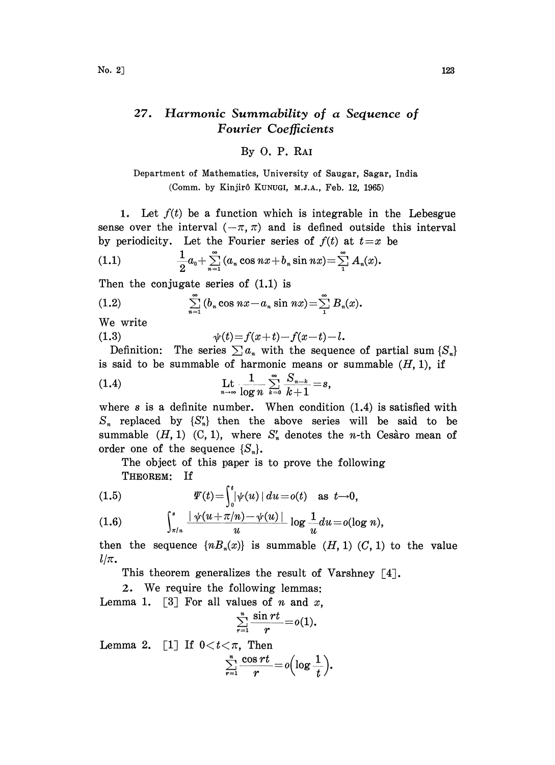## 27. Harmonic Summability of a Sequence of Fourier Coefficients

## By O. P. RA

Department of Mathematics, University of Saugar, Sagar, India (Comm. by Kinjir6 KUNUGI, M.J.A., Feb. 12, 1965)

1. Let  $f(t)$  be a function which is integrable in the Lebesgue sense over the interval  $(-\pi, \pi)$  and is defined outside this interval by periodicity. Let the Fourier series of  $f(t)$  at  $t=x$  be

(1.1) 
$$
\frac{1}{2}a_0 + \sum_{n=1}^{\infty} (a_n \cos nx + b_n \sin nx) = \sum_{1}^{\infty} A_n(x).
$$

Then the conjugate series of  $(1.1)$  is

(1.2) 
$$
\sum_{n=1}^{\infty} (b_n \cos nx - a_n \sin nx) = \sum_{1}^{\infty} B_n(x).
$$

We write

(1.3)  $\psi(t) = f(x+t) - f(x-t) - l.$ 

Definition: The series  $\sum a_n$  with the sequence of partial sum  $\{S_n\}$ is said to be summable of harmonic means or summable  $(H, 1)$ , if

(1.4) 
$$
\lim_{n \to \infty} \frac{1}{\log n} \sum_{k=0}^{\infty} \frac{S_{n-k}}{k+1} = s,
$$

where  $s$  is a definite number. When condition  $(1.4)$  is satisfied with  $S_n$  replaced by  $\{S'_n\}$  then the above series will be said to be summable  $(H, 1)$   $(C, 1)$ , where  $S'_n$  denotes the *n*-th Cesaro mean of order one of the sequence  ${S_n}$ .

The object of this paper is to prove the following THEOREM: If

(1.5) 
$$
\Psi(t) = \int_0^t |\psi(u)| du = o(t) \text{ as } t \to 0,
$$

$$
(1.6) \qquad \int_{\pi/n}^s \frac{|\psi(u+\pi/n)-\psi(u)|}{u} \log \frac{1}{u} du = o(\log n),
$$

then the sequence  $\{nB_n(x)\}\$ is summable  $(H, 1)(C, 1)$  to the value  $l/\pi$ .

This theorem generalizes the result of Varshney [4].

2. We require the following lemmas. Lemma 1. [3] For all values of *n* and *x*,<br> $\sum_{n=1}^{\infty} \frac{\sin rt}{n} = o(1).$ 

$$
\sum_{r=1}^n \frac{\sin rt}{r} = o(1).
$$

Lemma 2. [1] If  $0 < t < \pi$ , Then

$$
\sum_{r=1}^n \frac{\cos rt}{r} = o\left(\log \frac{1}{t}\right).
$$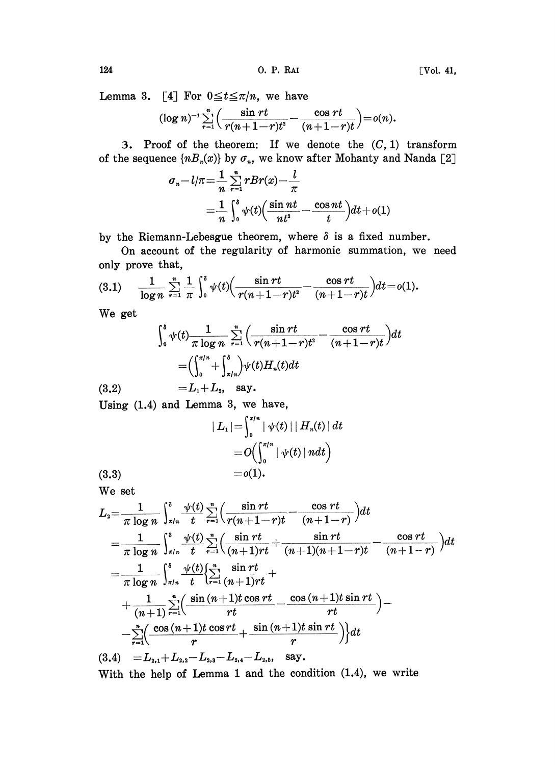Lemma 3. [4] For  $0 \le t \le \pi/n$ , we have

$$
(\log n)^{-1} \sum_{r=1}^n \left( \frac{\sin rt}{r(n+1-r)t^2} - \frac{\cos rt}{(n+1-r)t} \right) = o(n).
$$

3. Proof of the theorem: If we denote the  $(C, 1)$  transform of the sequence  $\{nB_n(x)\}$  by  $\sigma_n$ , we know after Mohanty and Nanda [2]

$$
\sigma_n - l/\pi = \frac{1}{n} \sum_{r=1}^n rBr(x) - \frac{l}{\pi}
$$

$$
= \frac{1}{n} \int_0^s \psi(t) \left( \frac{\sin nt}{nt^2} - \frac{\cos nt}{t} \right) dt + o(1)
$$

by the Riemann-Lebesgue theorem, where  $\delta$  is a fixed number.

On account of the regularity of harmonic summation, we need only prove that,

(3.1) 
$$
\frac{1}{\log n} \sum_{r=1}^{n} \frac{1}{\pi} \int_{0}^{s} \psi(t) \left( \frac{\sin rt}{r(n+1-r)t^2} - \frac{\cos rt}{(n+1-r)t} \right) dt = o(1).
$$

We get

$$
\int_0^s \psi(t) \frac{1}{\pi \log n} \sum_{r=1}^n \left( \frac{\sin rt}{r(n+1-r)t^2} - \frac{\cos rt}{(n+1-r)t} \right) dt
$$

$$
= \left( \int_0^{\pi/n} + \int_{\pi/n}^s \right) \psi(t) H_n(t) dt
$$

(3.2)  $=L_1+L_2$ , say.

Using (1.4) and Lemma 3, we have,

$$
\begin{aligned}\n| \ L_1 | &= \int_0^{\pi/n} |\ \psi(t) \ | \ | \ H_n(t) \ | \ dt \\
&= O\Bigl( \int_0^{\pi/n} |\ \psi(t) \ | \ ndt \Bigr) \\
&= o(1).\n\end{aligned}
$$

We set

 $(3.3)$ 

$$
L_{2} = \frac{1}{\pi \log n} \int_{\pi/n}^{s} \frac{\psi(t)}{t} \sum_{r=1}^{n} \left( \frac{\sin rt}{r(n+1-r)t} - \frac{\cos rt}{(n+1-r)} \right) dt
$$
  
\n
$$
= \frac{1}{\pi \log n} \int_{\pi/n}^{s} \frac{\psi(t)}{t} \sum_{r=1}^{n} \left( \frac{\sin rt}{(n+1)rt} + \frac{\sin rt}{(n+1)(n+1-r)t} - \frac{\cos rt}{(n+1-r)} \right) dt
$$
  
\n
$$
= \frac{1}{\pi \log n} \int_{\pi/n}^{s} \frac{\psi(t)}{t} \left\{ \sum_{r=1}^{n} \frac{\sin rt}{(n+1)rt} + \frac{1}{(n+1)rt} \sum_{r=1}^{n} \left( \frac{\sin (n+1)t \cos rt}{rt} - \frac{\cos (n+1)t \sin rt}{rt} \right) - \frac{\sin (n+1)t \cos rt}{rt} + \frac{\sin (n+1)t \sin rt}{r} \right) \right\} dt
$$
  
\n
$$
= L_{2,1} + L_{2,2} - L_{2,3} - L_{2,4} - L_{2,5}, \text{ say.}
$$

With the help of Lemma <sup>1</sup> and the condition (1.4), we write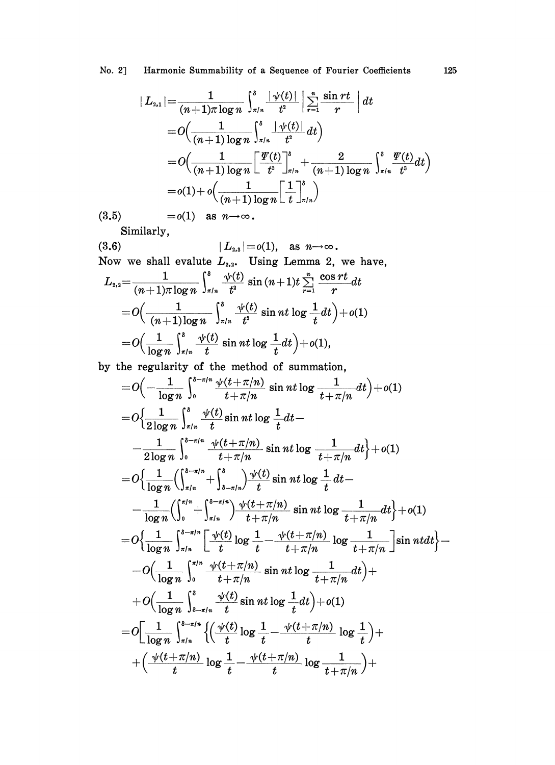$$
|L_{2,1}| = \frac{1}{(n+1)\pi \log n} \int_{x/n}^{s} \frac{|\psi(t)|}{t^2} \left| \sum_{r=1}^{n} \frac{\sin rt}{r} \right| dt
$$
  
=  $O\left(\frac{1}{(n+1)\log n} \int_{x/n}^{s} \frac{|\psi(t)|}{t^2} dt\right)$   
=  $O\left(\frac{1}{(n+1)\log n} \left[ \frac{\Psi(t)}{t^2} \right]_{x/n}^{s} + \frac{2}{(n+1)\log n} \int_{x/n}^{s} \frac{\Psi(t)}{t^3} dt\right)$   
=  $o(1) + o\left(\frac{1}{(n+1)\log n} \left[ \frac{1}{t} \right]_{x/n}^{s}\right)$ 

 $(3.5)$   $= o(1)$  as  $n \rightarrow \infty$ .

Similarly,

(3.6) 
$$
|L_{2,3}|=o(1), \text{ as } n \to \infty.
$$
Now we shall evaluate  $L_{2,2}$ . Using Lemma 2, we have,  

$$
L_{2,2} = \frac{1}{(n+1)\pi \log n} \int_{\pi/n}^{s} \frac{\psi(t)}{t^2} \sin(n+1)t \sum_{r=1}^{n} \frac{\cos rt}{r} dt
$$

$$
= O\Big(\frac{1}{(n+1)\log n} \int_{\pi/n}^{s} \frac{\psi(t)}{t^2} \sin nt \log \frac{1}{t} dt\Big) + o(1)
$$

$$
= O\Big(\frac{1}{\log n} \int_{\pi/n}^{s} \frac{\psi(t)}{t} \sin nt \log \frac{1}{t} dt\Big) + o(1),
$$

by the regularity of the method of summation,

$$
=O\left(-\frac{1}{\log n}\int_{0}^{s-\pi/n} \frac{\psi(t+\pi/n)}{t+\pi/n} \sin nt \log \frac{1}{t+\pi/n} dt\right) + o(1)
$$
  
\n
$$
=O\left\{\frac{1}{2\log n}\int_{s/n}^{s} \frac{\psi(t)}{t} \sin nt \log \frac{1}{t} dt - \frac{1}{2\log n}\int_{0}^{s-\pi/n} \frac{\psi(t+\pi/n)}{t+\pi/n} \sin nt \log \frac{1}{t+\pi/n} dt\right\} + o(1)
$$
  
\n
$$
=O\left\{\frac{1}{\log n}\left(\int_{s/n}^{s-\pi/n} + \int_{s-\pi/n}^{s}\frac{\psi(t)}{t} \sin nt \log \frac{1}{t} dt - \frac{1}{\log n}\left(\int_{0}^{s/n} + \int_{s/n}^{s-\pi/n}\frac{\psi(t+\pi/n)}{t+\pi/n} \sin nt \log \frac{1}{t+\pi/n} dt\right\} + o(1)\right\}
$$
  
\n
$$
=O\left\{\frac{1}{\log n}\int_{s/n}^{s-\pi/n} \left[\frac{\psi(t)}{t} \log \frac{1}{t} - \frac{\psi(t+\pi/n)}{t+\pi/n} \log \frac{1}{t+\pi/n}\right] \sin nt dt\right\} - O\left(\frac{1}{\log n}\int_{s-\pi/n}^{s/n} \frac{\psi(t+\pi/n)}{t+\pi/n} \sin nt \log \frac{1}{t+\pi/n} dt\right) + O\left(\frac{1}{\log n}\int_{s-\pi/n}^{s}\frac{\psi(t)}{t} \sin nt \log \frac{1}{t} dt\right) + o(1)
$$
  
\n
$$
=O\left[\frac{1}{\log n}\int_{s-\pi/n}^{s-\pi/n} \left\{\left(\frac{\psi(t)}{t} \log \frac{1}{t} - \frac{\psi(t+\pi/n)}{t} \log \frac{1}{t}\right) + \left(\frac{\psi(t+\pi/n)}{t} \log \frac{1}{t+\pi/n}\right) + \left(\frac{\psi(t+\pi/n)}{t} \log \frac{1}{t+\pi/n}\right) + \left(\frac{\psi(t+\pi/n)}{t} \log \frac{1}{t+\pi/n}\right) + o(1)
$$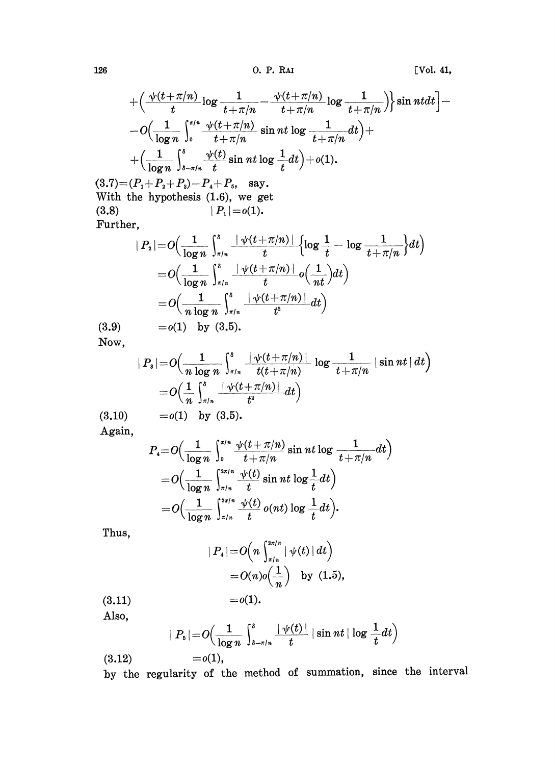126 0. P. RAI [Vol. 41,

$$
+\left(\frac{\sqrt{t}+\pi/n}{t}\log\frac{1}{t+\pi/n}-\frac{\sqrt{t}+\pi/n}{t+\pi/n}\log\frac{1}{t+\pi/n}\right)\sin nt dt\right]-\\-O\left(\frac{1}{\log n}\int_0^{\pi/n}\frac{\sqrt{t}+\pi/n}{t+\pi/n}\sin nt \log\frac{1}{t+\pi/n}dt\right)+\\\left(\frac{1}{\log n}\int_{\delta-\pi/n}^{\delta}\frac{\sqrt{t}t}{t}\sin nt \log\frac{1}{t}dt\right)+o(1).
$$

 $(3.7) = (P_1 + P_2 + P_3) - P_4 + P_5$ , say. With the hypothesis (1.6), we get  $(3.8)$  $|P_{1}|=o(1).$ Further,

$$
\begin{aligned} &|P_2| {=} O\Big(\frac{1}{\log n}\int_{\pi/n}^{\delta} \frac{|\psi(t+\pi/n)|}{t} \Big\{\!\log\frac{1}{t} {-} \log\frac{1}{t+\pi/n}\Big\}\!dt\Big) \\ &={} O\Big(\frac{1}{\log n}\int_{\pi/n}^{\delta} \frac{|\psi(t+\pi/n)|}{t} o\Big(\frac{1}{nt}\Big) \!dt\Big) \\ &={} O\Big(\frac{1}{n\log n}\int_{\pi/n}^{\delta} \frac{|\psi(t+\pi/n)|}{t^2} \!dt\Big) \\ &={} o(1)\ \ \, \text{by}\,\,\, (3.5). \end{aligned}
$$

 $(3.9)$ Now,

$$
|P_s| = O\left(\frac{1}{n \log n} \int_{\pi/n}^{\delta} \frac{|\psi(t+\pi/n)|}{t(t+\pi/n)} \log \frac{1}{t+\pi/n} |\sin nt| dt\right)
$$
  
=  $O\left(\frac{1}{n} \int_{\pi/n}^{\delta} \frac{|\psi(t+\pi/n)|}{t^2} dt\right)$   
=  $o(1)$  by (3.5).

(3.10) Again,

$$
P_4 = O\Big(\frac{1}{\log n}\int_0^{\pi/n} \frac{\psi(t+\pi/n)}{t+\pi/n} \sin nt \log \frac{1}{t+\pi/n} dt\Big) = O\Big(\frac{1}{\log n}\int_{\pi/n}^{2\pi/n} \frac{\psi(t)}{t} \sin nt \log \frac{1}{t} dt\Big) = O\Big(\frac{1}{\log n}\int_{\pi/n}^{2\pi/n} \frac{\psi(t)}{t} o(nt) \log \frac{1}{t} dt\Big).
$$

Thus,

$$
| P_4 | = O\left(n \int_{\pi/n}^{2\pi/n} |\psi(t)| dt\right) = O(n) o\left(\frac{1}{n}\right) \text{ by } (1.5),
$$

$$
(3.11) \qquad \qquad =o(1).
$$

Also,

$$
|P_{\mathfrak{s}}| = O\Big(\frac{1}{\log n}\int_{s-\pi/n}^{s} \frac{|\psi(t)|}{t} |\sin nt| \log \frac{1}{t} dt\Big)
$$

 $=o(1),$ (8.12)

by the regularity of the method of summation, since the interval